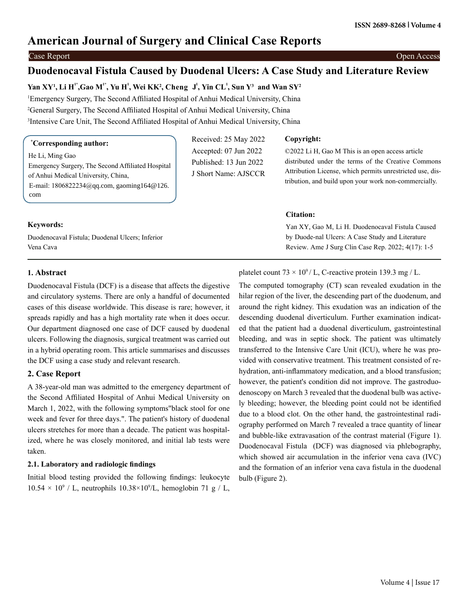# **American Journal of Surgery and Clinical Case Reports**

#### Case Report Open Access

# **Duodenocaval Fistula Caused by Duodenal Ulcers: A Case Study and Literature Review**

**Yan XY1 , Li H1\*,Gao M1\* , Yu H<sup>1</sup> , Wei KK2 , Cheng J <sup>1</sup> , Yin CL<sup>1</sup> , Sun Y3 and Wan SY2** Emergency Surgery, The Second Affiliated Hospital of Anhui Medical University, China General Surgery, The Second Affiliated Hospital of Anhui Medical University, China Intensive Care Unit, The Second Affiliated Hospital of Anhui Medical University, China

## **\* Corresponding author:**

He Li, Ming Gao Emergency Surgery, The Second Affiliated Hospital of Anhui Medical University, China, E-mail: 1806822234@qq.com, gaoming164@126. com

## **Keywords:**

Duodenocaval Fistula; Duodenal Ulcers; Inferior Vena Cava

## Received: 25 May 2022 Accepted: 07 Jun 2022 Published: 13 Jun 2022 J Short Name: AJSCCR

#### **Copyright:**

©2022 Li H, Gao M This is an open access article distributed under the terms of the Creative Commons Attribution License, which permits unrestricted use, distribution, and build upon your work non-commercially.

## **Citation:**

Yan XY, Gao M, Li H. Duodenocaval Fistula Caused by Duode-nal Ulcers: A Case Study and Literature Review. Ame J Surg Clin Case Rep. 2022; 4(17): 1-5

## **1. Abstract**

Duodenocaval Fistula (DCF) is a disease that affects the digestive and circulatory systems. There are only a handful of documented cases of this disease worldwide. This disease is rare; however, it spreads rapidly and has a high mortality rate when it does occur. Our department diagnosed one case of DCF caused by duodenal ulcers. Following the diagnosis, surgical treatment was carried out in a hybrid operating room. This article summarises and discusses the DCF using a case study and relevant research.

## **2. Case Report**

A 38-year-old man was admitted to the emergency department of the Second Affiliated Hospital of Anhui Medical University on March 1, 2022, with the following symptoms"black stool for one week and fever for three days.". The patient's history of duodenal ulcers stretches for more than a decade. The patient was hospitalized, where he was closely monitored, and initial lab tests were taken.

## **2.1. Laboratory and radiologic findings**

Initial blood testing provided the following findings: leukocyte  $10.54 \times 10^9$  / L, neutrophils  $10.38 \times 10^9$ /L, hemoglobin 71 g / L,

## platelet count  $73 \times 10^9$  / L, C-reactive protein 139.3 mg / L.

The computed tomography (CT) scan revealed exudation in the hilar region of the liver, the descending part of the duodenum, and around the right kidney. This exudation was an indication of the descending duodenal diverticulum. Further examination indicated that the patient had a duodenal diverticulum, gastrointestinal bleeding, and was in septic shock. The patient was ultimately transferred to the Intensive Care Unit (ICU), where he was provided with conservative treatment. This treatment consisted of rehydration, anti-inflammatory medication, and a blood transfusion; however, the patient's condition did not improve. The gastroduodenoscopy on March 3 revealed that the duodenal bulb was actively bleeding; however, the bleeding point could not be identified due to a blood clot. On the other hand, the gastrointestinal radiography performed on March 7 revealed a trace quantity of linear and bubble-like extravasation of the contrast material (Figure 1). Duodenocaval Fistula (DCF) was diagnosed via phlebography, which showed air accumulation in the inferior vena cava (IVC) and the formation of an inferior vena cava fistula in the duodenal bulb (Figure 2).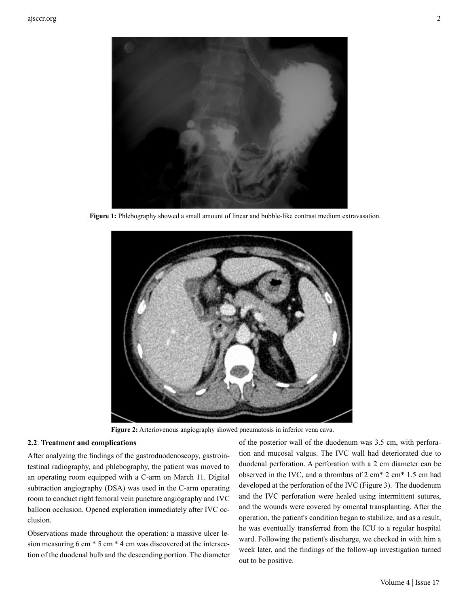

**Figure 1:** Phlebography showed a small amount of linear and bubble-like contrast medium extravasation.



**Figure 2:** Arteriovenous angiography showed pneumatosis in inferior vena cava.

#### **2.2**. **Treatment and complications**

After analyzing the findings of the gastroduodenoscopy, gastrointestinal radiography, and phlebography, the patient was moved to an operating room equipped with a C-arm on March 11. Digital subtraction angiography (DSA) was used in the C-arm operating room to conduct right femoral vein puncture angiography and IVC balloon occlusion. Opened exploration immediately after IVC occlusion.

Observations made throughout the operation: a massive ulcer lesion measuring 6 cm \* 5 cm \* 4 cm was discovered at the intersection of the duodenal bulb and the descending portion. The diameter

of the posterior wall of the duodenum was 3.5 cm, with perforation and mucosal valgus. The IVC wall had deteriorated due to duodenal perforation. A perforation with a 2 cm diameter can be observed in the IVC, and a thrombus of 2 cm\* 2 cm\* 1.5 cm had developed at the perforation of the IVC (Figure 3). The duodenum and the IVC perforation were healed using intermittent sutures, and the wounds were covered by omental transplanting. After the operation, the patient's condition began to stabilize, and as a result, he was eventually transferred from the ICU to a regular hospital ward. Following the patient's discharge, we checked in with him a week later, and the findings of the follow-up investigation turned out to be positive.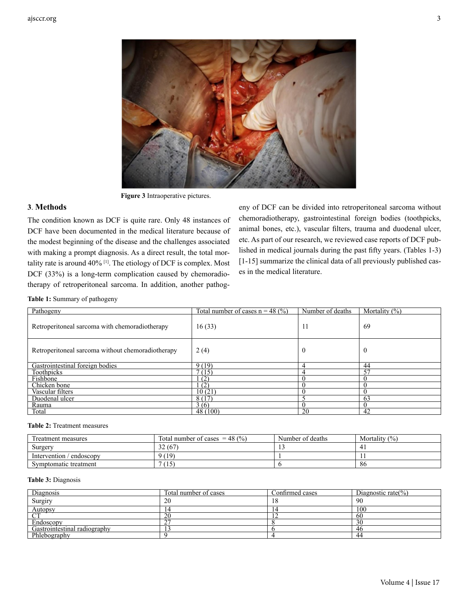

**Figure 3** Intraoperative pictures.

## **3**. **Methods**

The condition known as DCF is quite rare. Only 48 instances of DCF have been documented in the medical literature because of the modest beginning of the disease and the challenges associated with making a prompt diagnosis. As a direct result, the total mortality rate is around 40% [1]. The etiology of DCF is complex. Most DCF (33%) is a long-term complication caused by chemoradiotherapy of retroperitoneal sarcoma. In addition, another pathogeny of DCF can be divided into retroperitoneal sarcoma without chemoradiotherapy, gastrointestinal foreign bodies (toothpicks, animal bones, etc.), vascular filters, trauma and duodenal ulcer, etc. As part of our research, we reviewed case reports of DCF published in medical journals during the past fifty years. (Tables 1-3) [1-15] summarize the clinical data of all previously published cases in the medical literature.

**Table 1:** Summary of pathogeny

| Pathogeny                                         | Total number of cases $n = 48$ (%) | Number of deaths | Mortality $(\%)$ |
|---------------------------------------------------|------------------------------------|------------------|------------------|
| Retroperitoneal sarcoma with chemoradiotherapy    | 16(33)                             | -11              | 69               |
| Retroperitoneal sarcoma without chemoradiotherapy | 2(4)                               | $\theta$         |                  |
| Gastrointestinal foreign bodies                   | 9(19)                              | 4                | 44               |
| Toothpicks                                        | 7(15)                              | 4                | 57               |
| Fishbone                                          | (2)                                | $\theta$         |                  |
| Chicken bone                                      | (2)                                | $\theta$         |                  |
| Vascular filters                                  | 10(21)                             | U                |                  |
| Duodenal ulcer                                    | 8(17)                              |                  | 63               |
| Rauma                                             | 3(6)                               | 0                |                  |
| Total                                             | 48(100)                            | 20               | 42               |

#### **Table 2:** Treatment measures

| Treatment measures           | Total number of cases $= 48$ (%) | Number of deaths | Mortality $(\%)$ |
|------------------------------|----------------------------------|------------------|------------------|
| Surgery                      | 32(67)                           |                  | 4.               |
| Intervention/<br>/ endoscopy | 9(19)                            |                  |                  |
| Symptomatic treatment        | (15)                             |                  | ` 8t             |

#### **Table 3:** Diagnosis

| Diagnosis                         | Total number of cases | Confirmed cases | Diagnostic rate $(\% )$ |
|-----------------------------------|-----------------------|-----------------|-------------------------|
| Surgiry                           | 20                    | 10              | 90                      |
| $\frac{\text{Autopy}}{\text{CT}}$ |                       | $1^{\omega}$    | 100                     |
|                                   | ZU                    |                 | -60                     |
| Endoscopy                         | $\sim$<br>-           |                 | 30                      |
| Gastrointestinal radiography      |                       |                 | 46                      |
| Phlebography                      |                       |                 | 44                      |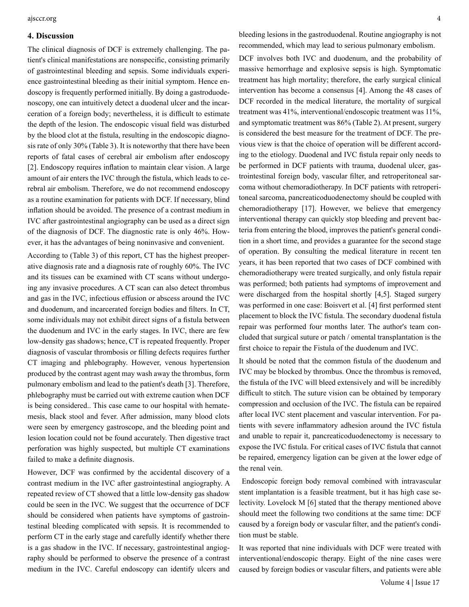#### **4. Discussion**

The clinical diagnosis of DCF is extremely challenging. The patient's clinical manifestations are nonspecific, consisting primarily of gastrointestinal bleeding and sepsis. Some individuals experience gastrointestinal bleeding as their initial symptom. Hence endoscopy is frequently performed initially. By doing a gastroduodenoscopy, one can intuitively detect a duodenal ulcer and the incarceration of a foreign body; nevertheless, it is difficult to estimate the depth of the lesion. The endoscopic visual field was disturbed by the blood clot at the fistula, resulting in the endoscopic diagnosis rate of only 30% (Table 3). It is noteworthy that there have been reports of fatal cases of cerebral air embolism after endoscopy [2]. Endoscopy requires inflation to maintain clear vision. A large amount of air enters the IVC through the fistula, which leads to cerebral air embolism. Therefore, we do not recommend endoscopy as a routine examination for patients with DCF. If necessary, blind inflation should be avoided. The presence of a contrast medium in IVC after gastrointestinal angiography can be used as a direct sign of the diagnosis of DCF. The diagnostic rate is only 46%. However, it has the advantages of being noninvasive and convenient.

According to (Table 3) of this report, CT has the highest preoperative diagnosis rate and a diagnosis rate of roughly 60%. The IVC and its tissues can be examined with CT scans without undergoing any invasive procedures. A CT scan can also detect thrombus and gas in the IVC, infectious effusion or abscess around the IVC and duodenum, and incarcerated foreign bodies and filters. In CT, some individuals may not exhibit direct signs of a fistula between the duodenum and IVC in the early stages. In IVC, there are few low-density gas shadows; hence, CT is repeated frequently. Proper diagnosis of vascular thrombosis or filling defects requires further CT imaging and phlebography. However, venous hypertension produced by the contrast agent may wash away the thrombus, form pulmonary embolism and lead to the patient's death [3]. Therefore, phlebography must be carried out with extreme caution when DCF is being considered.. This case came to our hospital with hematemesis, black stool and fever. After admission, many blood clots were seen by emergency gastroscope, and the bleeding point and lesion location could not be found accurately. Then digestive tract perforation was highly suspected, but multiple CT examinations failed to make a definite diagnosis.

However, DCF was confirmed by the accidental discovery of a contrast medium in the IVC after gastrointestinal angiography. A repeated review of CT showed that a little low-density gas shadow could be seen in the IVC. We suggest that the occurrence of DCF should be considered when patients have symptoms of gastrointestinal bleeding complicated with sepsis. It is recommended to perform CT in the early stage and carefully identify whether there is a gas shadow in the IVC. If necessary, gastrointestinal angiography should be performed to observe the presence of a contrast medium in the IVC. Careful endoscopy can identify ulcers and bleeding lesions in the gastroduodenal. Routine angiography is not recommended, which may lead to serious pulmonary embolism.

DCF involves both IVC and duodenum, and the probability of massive hemorrhage and explosive sepsis is high. Symptomatic treatment has high mortality; therefore, the early surgical clinical intervention has become a consensus [4]. Among the 48 cases of DCF recorded in the medical literature, the mortality of surgical treatment was 41%, interventional/endoscopic treatment was 11%, and symptomatic treatment was 86% (Table 2). At present, surgery is considered the best measure for the treatment of DCF. The previous view is that the choice of operation will be different according to the etiology. Duodenal and IVC fistula repair only needs to be performed in DCF patients with trauma, duodenal ulcer, gastrointestinal foreign body, vascular filter, and retroperitoneal sarcoma without chemoradiotherapy. In DCF patients with retroperitoneal sarcoma, pancreaticoduodenectomy should be coupled with chemoradiotherapy [17]. However, we believe that emergency interventional therapy can quickly stop bleeding and prevent bacteria from entering the blood, improves the patient's general condition in a short time, and provides a guarantee for the second stage of operation. By consulting the medical literature in recent ten years, it has been reported that two cases of DCF combined with chemoradiotherapy were treated surgically, and only fistula repair was performed; both patients had symptoms of improvement and were discharged from the hospital shortly [4,5]. Staged surgery was performed in one case: Boisvert et al. [4] first performed stent placement to block the IVC fistula. The secondary duodenal fistula repair was performed four months later. The author's team concluded that surgical suture or patch / omental transplantation is the first choice to repair the Fistula of the duodenum and IVC.

It should be noted that the common fistula of the duodenum and IVC may be blocked by thrombus. Once the thrombus is removed, the fistula of the IVC will bleed extensively and will be incredibly difficult to stitch. The suture vision can be obtained by temporary compression and occlusion of the IVC. The fistula can be repaired after local IVC stent placement and vascular intervention. For patients with severe inflammatory adhesion around the IVC fistula and unable to repair it, pancreaticoduodenectomy is necessary to expose the IVC fistula. For critical cases of IVC fistula that cannot be repaired, emergency ligation can be given at the lower edge of the renal vein.

 Endoscopic foreign body removal combined with intravascular stent implantation is a feasible treatment, but it has high case selectivity. Lovelock M [6] stated that the therapy mentioned above should meet the following two conditions at the same time: DCF caused by a foreign body or vascular filter, and the patient's condition must be stable.

It was reported that nine individuals with DCF were treated with interventional/endoscopic therapy. Eight of the nine cases were caused by foreign bodies or vascular filters, and patients were able